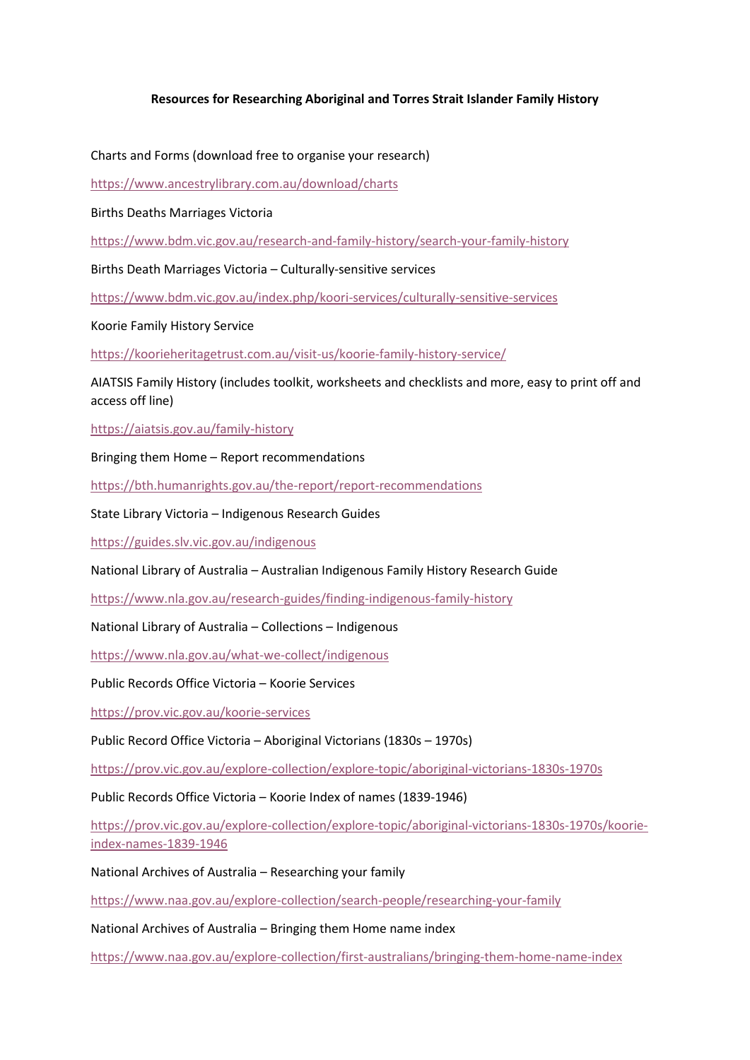## **Resources for Researching Aboriginal and Torres Strait Islander Family History**

Charts and Forms (download free to organise your research)

<https://www.ancestrylibrary.com.au/download/charts>

Births Deaths Marriages Victoria

<https://www.bdm.vic.gov.au/research-and-family-history/search-your-family-history>

Births Death Marriages Victoria – Culturally-sensitive services

<https://www.bdm.vic.gov.au/index.php/koori-services/culturally-sensitive-services>

Koorie Family History Service

<https://koorieheritagetrust.com.au/visit-us/koorie-family-history-service/>

AIATSIS Family History (includes toolkit, worksheets and checklists and more, easy to print off and access off line)

<https://aiatsis.gov.au/family-history>

Bringing them Home – Report recommendations

<https://bth.humanrights.gov.au/the-report/report-recommendations>

State Library Victoria – Indigenous Research Guides

<https://guides.slv.vic.gov.au/indigenous>

National Library of Australia – Australian Indigenous Family History Research Guide

<https://www.nla.gov.au/research-guides/finding-indigenous-family-history>

National Library of Australia – Collections – Indigenous

<https://www.nla.gov.au/what-we-collect/indigenous>

Public Records Office Victoria – Koorie Services

<https://prov.vic.gov.au/koorie-services>

Public Record Office Victoria – Aboriginal Victorians (1830s – 1970s)

<https://prov.vic.gov.au/explore-collection/explore-topic/aboriginal-victorians-1830s-1970s>

Public Records Office Victoria – Koorie Index of names (1839-1946)

[https://prov.vic.gov.au/explore-collection/explore-topic/aboriginal-victorians-1830s-1970s/koorie](https://prov.vic.gov.au/explore-collection/explore-topic/aboriginal-victorians-1830s-1970s/koorie-index-names-1839-1946)[index-names-1839-1946](https://prov.vic.gov.au/explore-collection/explore-topic/aboriginal-victorians-1830s-1970s/koorie-index-names-1839-1946)

National Archives of Australia – Researching your family

<https://www.naa.gov.au/explore-collection/search-people/researching-your-family>

National Archives of Australia – Bringing them Home name index

<https://www.naa.gov.au/explore-collection/first-australians/bringing-them-home-name-index>